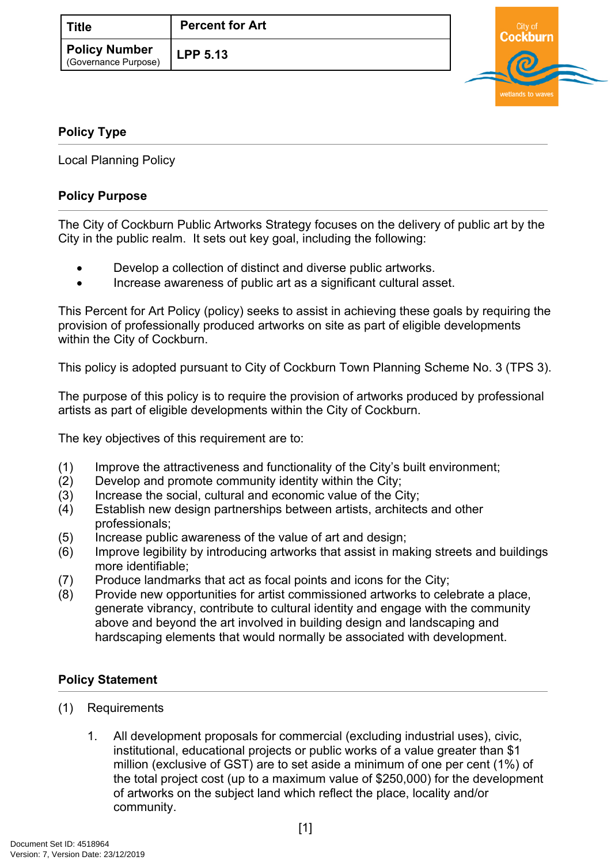| <b>Title</b>                                 | <b>Percent for Art</b> |
|----------------------------------------------|------------------------|
| <b>Policy Number</b><br>(Governance Purpose) | <b>LPP 5.13</b>        |



## <span id="page-0-0"></span>**[Policy Type](#page-0-0)**

Local Planning Policy

## **Policy Purpose**

The City of Cockburn Public Artworks Strategy focuses on the delivery of public art by the City in the public realm. It sets out key goal, including the following:

- Develop a collection of distinct and diverse public artworks.
- Increase awareness of public art as a significant cultural asset.

This Percent for Art Policy (policy) seeks to assist in achieving these goals by requiring the provision of professionally produced artworks on site as part of eligible developments within the City of Cockburn.

This policy is adopted pursuant to City of Cockburn Town Planning Scheme No. 3 (TPS 3).

The purpose of this policy is to require the provision of artworks produced by professional artists as part of eligible developments within the City of Cockburn.

The key objectives of this requirement are to:

- (1) Improve the attractiveness and functionality of the City's built environment;
- (2) Develop and promote community identity within the City;
- (3) Increase the social, cultural and economic value of the City;
- (4) Establish new design partnerships between artists, architects and other professionals;
- (5) Increase public awareness of the value of art and design;
- (6) Improve legibility by introducing artworks that assist in making streets and buildings more identifiable;
- (7) Produce landmarks that act as focal points and icons for the City;
- (8) Provide new opportunities for artist commissioned artworks to celebrate a place, generate vibrancy, contribute to cultural identity and engage with the community above and beyond the art involved in building design and landscaping and hardscaping elements that would normally be associated with development.

## **Policy Statement**

- (1) Requirements
	- 1. All development proposals for commercial (excluding industrial uses), civic, institutional, educational projects or public works of a value greater than \$1 million (exclusive of GST) are to set aside a minimum of one per cent (1%) of the total project cost (up to a maximum value of \$250,000) for the development of artworks on the subject land which reflect the place, locality and/or community.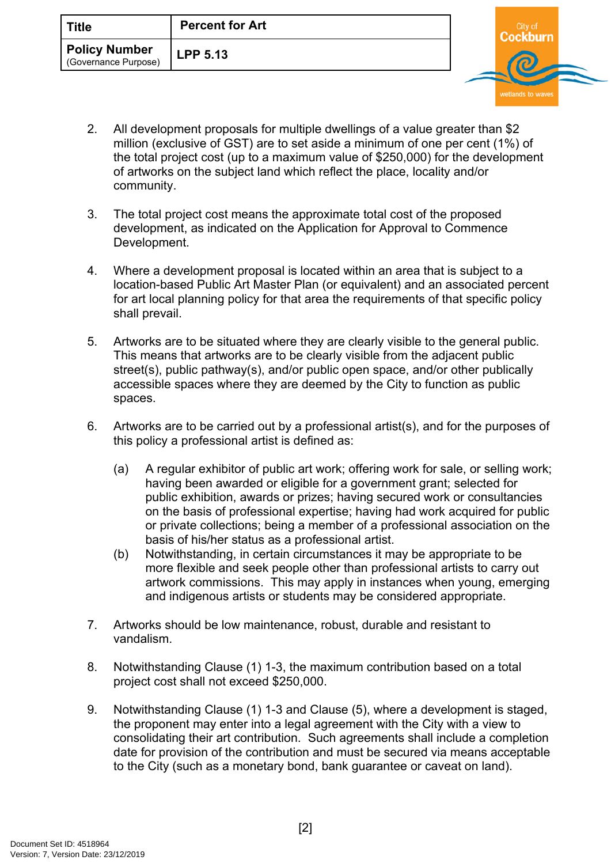- 2. All development proposals for multiple dwellings of a value greater than \$2 million (exclusive of GST) are to set aside a minimum of one per cent (1%) of the total project cost (up to a maximum value of \$250,000) for the development of artworks on the subject land which reflect the place, locality and/or community.
- 3. The total project cost means the approximate total cost of the proposed development, as indicated on the Application for Approval to Commence Development.
- 4. Where a development proposal is located within an area that is subject to a location-based Public Art Master Plan (or equivalent) and an associated percent for art local planning policy for that area the requirements of that specific policy shall prevail.
- 5. Artworks are to be situated where they are clearly visible to the general public. This means that artworks are to be clearly visible from the adjacent public street(s), public pathway(s), and/or public open space, and/or other publically accessible spaces where they are deemed by the City to function as public spaces.
- 6. Artworks are to be carried out by a professional artist(s), and for the purposes of this policy a professional artist is defined as:
	- (a) A regular exhibitor of public art work; offering work for sale, or selling work; having been awarded or eligible for a government grant; selected for public exhibition, awards or prizes; having secured work or consultancies on the basis of professional expertise; having had work acquired for public or private collections; being a member of a professional association on the basis of his/her status as a professional artist.
	- (b) Notwithstanding, in certain circumstances it may be appropriate to be more flexible and seek people other than professional artists to carry out artwork commissions. This may apply in instances when young, emerging and indigenous artists or students may be considered appropriate.
- 7. Artworks should be low maintenance, robust, durable and resistant to vandalism.
- 8. Notwithstanding Clause (1) 1-3, the maximum contribution based on a total project cost shall not exceed \$250,000.
- 9. Notwithstanding Clause (1) 1-3 and Clause (5), where a development is staged, the proponent may enter into a legal agreement with the City with a view to consolidating their art contribution. Such agreements shall include a completion date for provision of the contribution and must be secured via means acceptable to the City (such as a monetary bond, bank guarantee or caveat on land).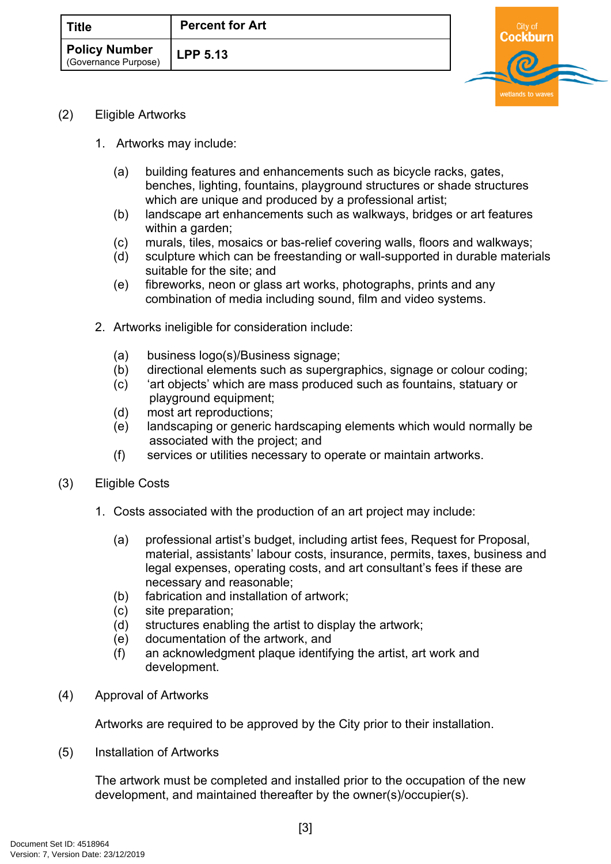| Title                                        | <b>Percent for Art</b> |
|----------------------------------------------|------------------------|
| <b>Policy Number</b><br>(Governance Purpose) | LPP 5.13               |



- (2) Eligible Artworks
	- 1. Artworks may include:
		- (a) building features and enhancements such as bicycle racks, gates, benches, lighting, fountains, playground structures or shade structures which are unique and produced by a professional artist;
		- (b) landscape art enhancements such as walkways, bridges or art features within a garden;
		- (c) murals, tiles, mosaics or bas-relief covering walls, floors and walkways;
		- (d) sculpture which can be freestanding or wall-supported in durable materials suitable for the site; and
		- (e) fibreworks, neon or glass art works, photographs, prints and any combination of media including sound, film and video systems.
	- 2. Artworks ineligible for consideration include:
		- (a) business logo(s)/Business signage;
		- (b) directional elements such as supergraphics, signage or colour coding;
		- (c) 'art objects' which are mass produced such as fountains, statuary or playground equipment;
		- (d) most art reproductions;
		- (e) landscaping or generic hardscaping elements which would normally be associated with the project; and
		- (f) services or utilities necessary to operate or maintain artworks.
- (3) Eligible Costs
	- 1. Costs associated with the production of an art project may include:
		- (a) professional artist's budget, including artist fees, Request for Proposal, material, assistants' labour costs, insurance, permits, taxes, business and legal expenses, operating costs, and art consultant's fees if these are necessary and reasonable;
		- (b) fabrication and installation of artwork;
		- (c) site preparation;
		- (d) structures enabling the artist to display the artwork;
		- (e) documentation of the artwork, and
		- (f) an acknowledgment plaque identifying the artist, art work and development.
- (4) Approval of Artworks

Artworks are required to be approved by the City prior to their installation.

(5) Installation of Artworks

The artwork must be completed and installed prior to the occupation of the new development, and maintained thereafter by the owner(s)/occupier(s).